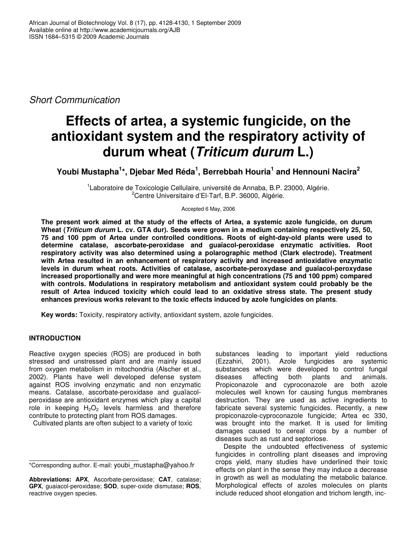*Short Communication*

# **Effects of artea, a systemic fungicide, on the antioxidant system and the respiratory activity of durum wheat (***Triticum durum* **L.)**

**Youbi Mustapha 1 \*, Djebar Med Réda 1 , Berrebbah Houria 1 and Hennouni Nacira 2**

<sup>1</sup> Laboratoire de Toxicologie Cellulaire, université de Annaba, B.P. 23000, Algérie. <sup>2</sup>Centre Universitaire d'El-Tarf, B.P. 36000, Algérie.

Accepted 6 May, 2006

**The present work aimed at the study of the effects of Artea, a systemic azole fungicide, on durum** Wheat (Triticum durum L. cv. GTA dur). Seeds were grown in a medium containing respectively 25, 50, **75 and 100 ppm of Artea under controlled conditions. Roots of eight-day-old plants were used to determine catalase, ascorbate-peroxidase and guaïacol-peroxidase enzymatic activities. Root respiratory activity was also determined using a polarographic method (Clark electrode). Treatment with Artea resulted in an enhancement of respiratory activity and increased antioxidative enzymatic levels in durum wheat roots. Activities of catalase, ascorbate-peroxydase and guaïacol-peroxydase increased proportionally and were more meaningful at high concentrations (75 and 100 ppm) compared with controls. Modulations in respiratory metabolism and antioxidant system could probably be the result of Artea induced toxicity which could lead to an oxidative stress state. The present study enhances previous works relevant to the toxic effects induced by azole fungicides on plants**.

**Key words:** Toxicity, respiratory activity, antioxidant system, azole fungicides.

## **INTRODUCTION**

Reactive oxygen species (ROS) are produced in both stressed and unstressed plant and are mainly issued from oxygen metabolism in mitochondria (Alscher et al., 2002). Plants have well developed defense system against ROS involving enzymatic and non enzymatic means. Catalase, ascorbate-peroxidase and guaïacolperoxidase are antioxidant enzymes which play a capital role in keeping  $H_2O_2$  levels harmless and therefore contribute to protecting plant from ROS damages.

Cultivated plants are often subject to a variety of toxic

substances leading to important yield reductions (Ezzahiri, 2001). Azole fungicides are systemic substances which were developed to control fungal diseases affecting both plants and animals. diseases affecting both plants and animals. Propiconazole and cyproconazole are both azole molecules well known for causing fungus membranes destruction. They are used as active ingredients to fabricate several systemic fungicides. Recently, a new propiconazole-cyproconazole fungicide; Artea ec 330, was brought into the market. It is used for limiting damages caused to cereal crops by a number of diseases such as rust and septoriose.

Despite the undoubted effectiveness of systemic fungicides in controlling plant diseases and improving crops yield, many studies have underlined their toxic effects on plant in the sense they may induce a decrease in growth as well as modulating the metabolic balance. Morphological effects of azoles molecules on plants include reduced shoot elongation and trichom length, inc-

<sup>\*</sup>Corresponding author. E-mail: youbi\_mustapha@yahoo.fr

**Abbreviations: APX**, Ascorbate-peroxidase; **CAT**, catalase; **GPX**, guaiacol-peroxidase; **SOD**, super-oxide dismutase; **ROS**, reactrive oxygen species.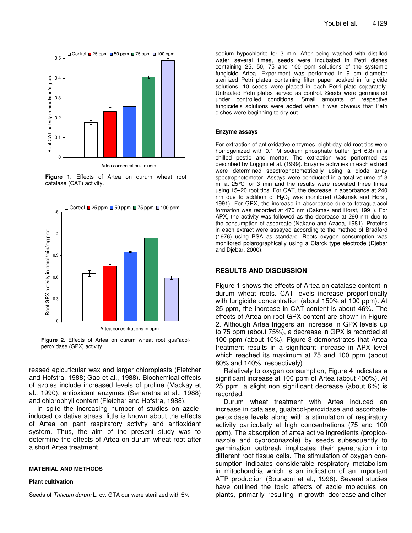

**Figure 1.** Effects of Artea on durum wheat root catalase (CAT) activity.



**Figure 2.** Effects of Artea on durum wheat root guaïacolperoxidase (GPX) activity.

reased epicuticular wax and larger chloroplasts (Fletcher and Hofstra, 1988; Gao et al., 1988). Biochemical effects of azoles include increased levels of proline (Mackay et al., 1990), antioxidant enzymes (Seneratna et al., 1988) and chlorophyll content (Fletcher and Hofstra, 1988).

In spite the increasing number of studies on azoleinduced oxidative stress, little is known about the effects of Artea on pant respiratory activity and antioxidant system. Thus, the aim of the present study was to determine the effects of Artea on durum wheat root after a short Artea treatment.

#### **MATERIAL AND METHODS**

#### **Plant cultivation**

Seeds of *Triticum durum* L. cv. GTA dur were sterilized with 5%

sodium hypochlorite for 3 min. After being washed with distilled water several times, seeds were incubated in Petri dishes containing 25, 50, 75 and 100 ppm solutions of the systemic fungicide Artea. Experiment was performed in 9 cm diameter sterilized Petri plates containing filter paper soaked in fungicide solutions. 10 seeds were placed in each Petri plate separately. Untreated Petri plates served as control. Seeds were germinated under controlled conditions. Small amounts of respective fungicide's solutions were added when it was obvious that Petri dishes were beginning to dry out.

#### **Enzyme assays**

For extraction of antioxidative enzymes, eight-day-old root tips were homogenized with 0.1 M sodium phosphate buffer (pH 6.8) in a chilled pestle and mortar. The extraction was performed as described by Loggini et al. (1999). Enzyme activities in each extract were determined spectrophotometrically using a diode array spectrophotometer. Assays were conducted in a total volume of 3 ml at 25°C for 3 min and the results were repeated three times using 15–20 root tips. For CAT, the decrease in absorbance at 240 nm due to addition of  $H_2O_2$  was monitored (Cakmak and Horst, 1991). For GPX, the increase in absorbance due to tetraguaiacol formation was recorded at 470 nm (Cakmak and Horst, 1991). For APX, the activity was followed as the decrease at 290 nm due to the consumption of ascorbate (Nakano and Azada, 1981). Proteins in each extract were assayed according to the method of Bradford (1976) using BSA as standard. Roots oxygen consumption was monitored polarographically using a Clarck type electrode (Djebar and Djebar, 2000).

### **RESULTS AND DISCUSSION**

Figure 1 shows the effects of Artea on catalase content in durum wheat roots. CAT levels increase proportionally with fungicide concentration (about 150% at 100 ppm). At 25 ppm, the increase in CAT content is about 46%. The effects of Artea on root GPX content are shown in Figure 2. Although Artea triggers an increase in GPX levels up to 75 ppm (about 75%), a decrease in GPX is recorded at 100 ppm (about 10%). Figure 3 demonstrates that Artea treatment results in a significant increase in APX level which reached its maximum at 75 and 100 ppm (about 80% and 140%, respectively).

Relatively to oxygen consumption, Figure 4 indicates a significant increase at 100 ppm of Artea (about 400%). At 25 ppm, a slight non significant decrease (about 6%) is recorded.

Durum wheat treatment with Artea induced an increase in catalase, guaïacol-peroxidase and ascorbateperoxidase levels along with a stimulation of respiratory activity particularly at high concentrations (75 and 100 ppm). The absorption of artea active ingredients (propiconazole and cyproconazole) by seeds subsequently to germination outbreak implicates their penetration into different root tissue cells. The stimulation of oxygen consumption indicates considerable respiratory metabolism in mitochondria which is an indication of an important ATP production (Bouraoui et al., 1998). Several studies have outlined the toxic effects of azole molecules on plants, primarily resulting in growth decrease and other